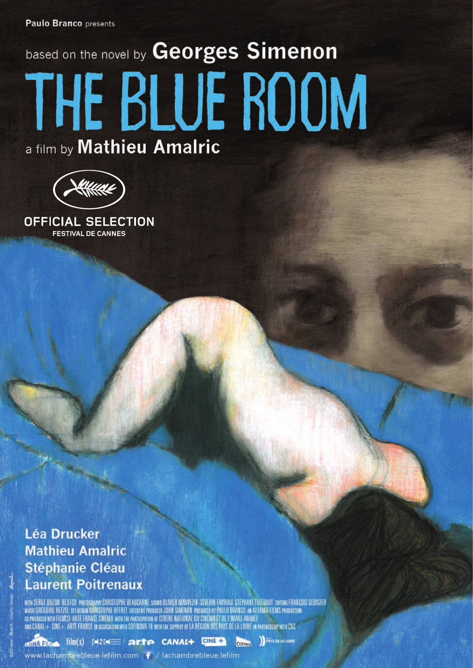# based on the novel by Georges Simenon THE BLUE ROOM a film by Mathieu Amalric



**OFFICIAL SELECTION FESTIVAL DE CANNES** 

# **Léa Drucker Mathieu Amalric Stéphanie Cléau Laurent Poitrenaux**

WITH SERGE BOZON BLUTCH PHOTOGRAPHY CHRISTOPHE BEAUCARNE SOUND DLIVER MAUVEZIN SEVERIN FAVRIAU STEPHANE THIEBAUT EDITING FRANCOIS GEDIGIER MUSIC GRÉGOIRE HETZEL SELOCSISI CHRISTOPHE OFFRET EXECUTIVE PRODUCER JOHN SIMENON PRODUCED BY PAULO BRANCO. AN ALFANA FILMS PRODUCTION CO-PRODUCTION<br>Co-produced with Film(s) arte france cinéma with the participation of cen

COFINO

www.lachambrebleue-lefilm.com | / lachambrebleue.lefilm

**MARINA FILMS** (WRIGHT **Arte CANAL+** CINE +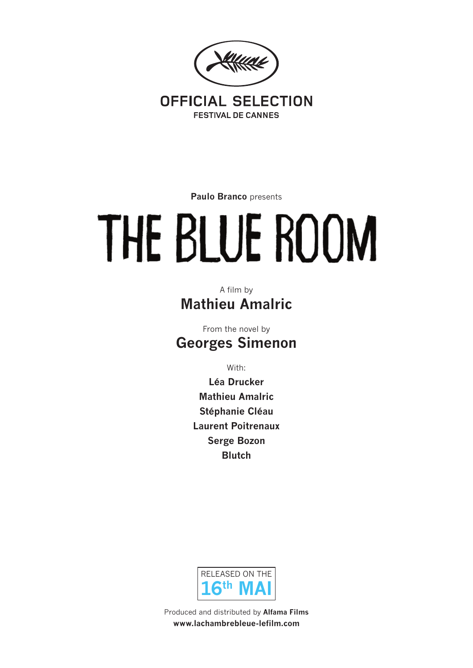

**Paulo Branco** presents

# THE BLUE ROOM

A film by **Mathieu Amalric**

From the novel by **Georges Simenon**

With:

**Léa Drucker Mathieu Amalric Stéphanie Cléau Laurent Poitrenaux Serge Bozon Blutch**



Produced and distributed by **Alfama Films www.lachambrebleue-lefilm.com**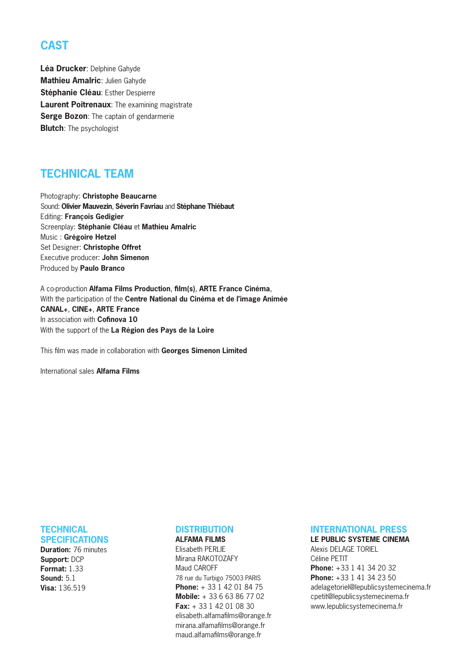# **CAST**

Léa Drucker: Delphine Gahyde **Mathieu Amalric**: Julien Gahyde **Stéphanie Cléau**: Esther Despierre **Laurent Poitrenaux**: The examining magistrate **Serge Bozon:** The captain of gendarmerie **Blutch**: The psychologist

## **TECHNICAL TEAM**

Photography: **Christophe Beaucarne** Sound: **Olivier Mauvezin**, **Séverin Favriau** and **Stéphane Thiébaut** Editing: **François Gedigier** Screenplay: **Stéphanie Cléau** et **Mathieu Amalric** Music : **Grégoire Hetzel** Set Designer: **Christophe Offret** Executive producer: **John Simenon** Produced by **Paulo Branco**

A co-production **Alfama Films Production**, **film(s)**, **ARTE France Cinéma**, With the participation of the **Centre National du Cinéma et de l'image Animée CANAL+**, **CINE+**, **ARTE France** In association with **Cofinova 10** With the support of the **La Région des Pays de la Loire**

This film was made in collaboration with **Georges Simenon Limited**

International sales **Alfama Films**

# **TECHNICAL**

**SPECIFICATIONS Duration:** 76 minutes **Support:** DCP **Format:** 1.33 **Sound:** 5.1 **Visa:** 136.519

#### **DISTRIBUTION**

**ALFAMA FILMS** Elisabeth PERLIE Mirana RAKOTOZAFY Maud CAROFF 78 rue du Turbigo 75003 PARIS **Phone:** + 33 1 42 01 84 75 **Mobile:** + 33 6 63 86 77 02 **Fax:** + 33 1 42 01 08 30 elisabeth.alfamafilms@orange.fr mirana.alfamafilms@orange.fr maud.alfamafilms@orange.fr

#### **INTERNATIONAL PRESS**

**LE PUBLIC SYSTEME CINEMA** Alexis DELAGE TORIEL Céline PETIT **Phone:** +33 1 41 34 20 32 **Phone:** +33 1 41 34 23 50 adelagetoriel@lepublicsystemecinema.fr cpetit@lepublicsystemecinema.fr www.lepublicsystemecinema.fr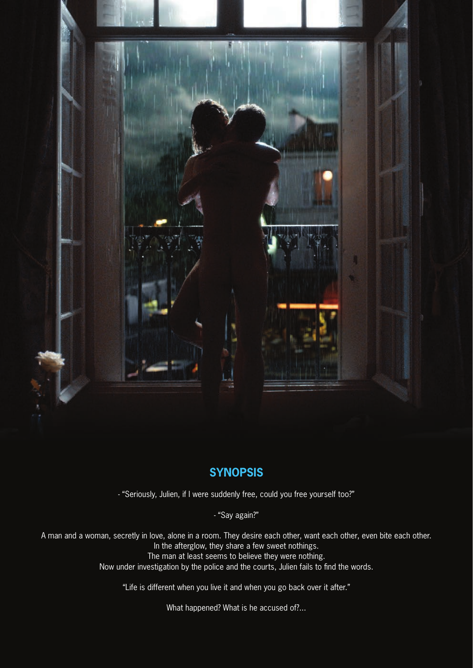

## **SYNOPSIS**

- "Seriously, Julien, if I were suddenly free, could you free yourself too?"

- "Say again?"

A man and a woman, secretly in love, alone in a room. They desire each other, want each other, even bite each other. In the afterglow, they share a few sweet nothings. The man at least seems to believe they were nothing. Now under investigation by the police and the courts, Julien fails to find the words.

"Life is different when you live it and when you go back over it after."

What happened? What is he accused of?...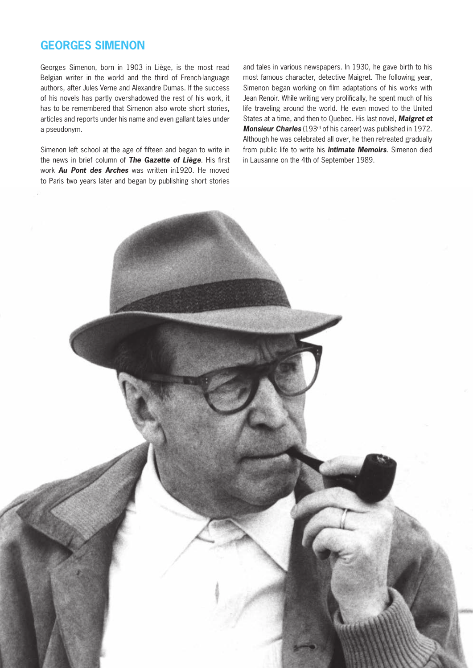#### **GEORGES SIMENON**

Georges Simenon, born in 1903 in Liège, is the most read Belgian writer in the world and the third of French-language authors, after Jules Verne and Alexandre Dumas. If the success of his novels has partly overshadowed the rest of his work, it has to be remembered that Simenon also wrote short stories, articles and reports under his name and even gallant tales under a pseudonym.

Simenon left school at the age of fifteen and began to write in the news in brief column of *The Gazette of Liège*. His first work *Au Pont des Arches* was written in1920. He moved to Paris two years later and began by publishing short stories

and tales in various newspapers. In 1930, he gave birth to his most famous character, detective Maigret. The following year, Simenon began working on film adaptations of his works with Jean Renoir. While writing very prolifically, he spent much of his life traveling around the world. He even moved to the United States at a time, and then to Quebec. His last novel, *Maigret et*  **Monsieur Charles** (193<sup>rd</sup> of his career) was published in 1972. Although he was celebrated all over, he then retreated gradually from public life to write his *Intimate Memoirs*. Simenon died in Lausanne on the 4th of September 1989.

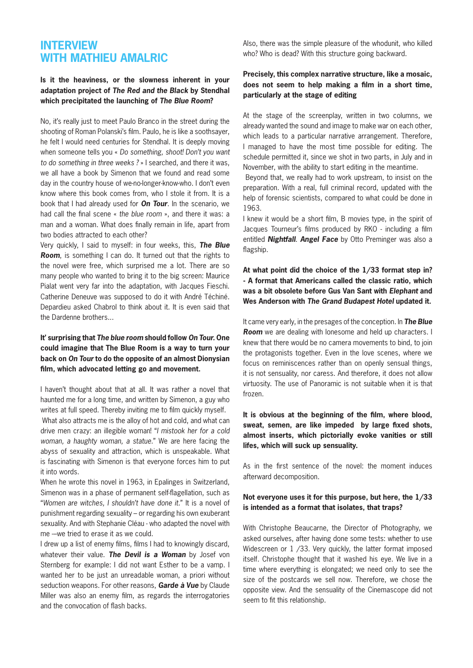#### **INTERVIEW WITH MATHIEU AMALRIC**

#### **Is it the heaviness, or the slowness inherent in your adaptation project of** *The Red and the Black* **by Stendhal which precipitated the launching of** *The Blue Room***?**

No, it's really just to meet Paulo Branco in the street during the shooting of Roman Polanski's film. Paulo, he is like a soothsayer, he felt I would need centuries for Stendhal. It is deeply moving when someone tells you « *Do something, shoot! Don't you want to do something in three weeks ?* » I searched, and there it was, we all have a book by Simenon that we found and read some day in the country house of we-no-longer-know-who. I don't even know where this book comes from, who I stole it from. It is a book that I had already used for *On Tour*. In the scenario, we had call the final scene « *the blue room* », and there it was: a man and a woman. What does finally remain in life, apart from two bodies attracted to each other?

Very quickly, I said to myself: in four weeks, this, *The Blue Room*, is something I can do. It turned out that the rights to the novel were free, which surprised me a lot. There are so many people who wanted to bring it to the big screen: Maurice Pialat went very far into the adaptation, with Jacques Fieschi. Catherine Deneuve was supposed to do it with André Téchiné. Depardieu asked Chabrol to think about it. It is even said that the Dardenne brothers.

#### **It' surprising that** *The blue room* **should follow** *On Tour.* **One could imagine that The Blue Room is a way to turn your back on** *On Tour* **to do the opposite of an almost Dionysian film, which advocated letting go and movement.**

I haven't thought about that at all. It was rather a novel that haunted me for a long time, and written by Simenon, a guy who writes at full speed. Thereby inviting me to film quickly myself.

What also attracts me is the alloy of hot and cold, and what can drive men crazy: an illegible woman! "*I mistook her for a cold woman, a haughty woman, a statue.*" We are here facing the abyss of sexuality and attraction, which is unspeakable. What is fascinating with Simenon is that everyone forces him to put it into words.

When he wrote this novel in 1963, in Epalinges in Switzerland. Simenon was in a phase of permanent self-flagellation, such as "*Women are witches, I shouldn't have done it.*" It is a novel of punishment regarding sexuality – or regarding his own exuberant sexuality. And with Stephanie Cléau - who adapted the novel with me -we tried to erase it as we could.

I drew up a list of enemy films, films I had to knowingly discard, whatever their value. *The Devil is a Woman* by Josef von Sternberg for example: I did not want Esther to be a vamp. I wanted her to be just an unreadable woman, a priori without seduction weapons. For other reasons, *Garde à Vue* by Claude Miller was also an enemy film, as regards the interrogatories and the convocation of flash backs.

Also, there was the simple pleasure of the whodunit, who killed who? Who is dead? With this structure going backward.

#### **Precisely, this complex narrative structure, like a mosaic, does not seem to help making a film in a short time, particularly at the stage of editing**

At the stage of the screenplay, written in two columns, we already wanted the sound and image to make war on each other, which leads to a particular narrative arrangement. Therefore, I managed to have the most time possible for editing. The schedule permitted it, since we shot in two parts, in July and in November, with the ability to start editing in the meantime.

Beyond that, we really had to work upstream, to insist on the preparation. With a real, full criminal record, updated with the help of forensic scientists, compared to what could be done in 1963.

I knew it would be a short film, B movies type, in the spirit of Jacques Tourneur's films produced by RKO - including a film entitled *Nightfall*. *Angel Face* by Otto Preminger was also a flagship.

**At what point did the choice of the 1/33 format step in? - A format that Americans called the classic ratio, which was a bit obsolete before Gus Van Sant with** *Elephant* **and Wes Anderson with** *The Grand Budapest Hotel* **updated it.**

It came very early, in the presages of the conception. In *The Blue Room* we are dealing with lonesome and held up characters. I knew that there would be no camera movements to bind, to join the protagonists together. Even in the love scenes, where we focus on reminiscences rather than on openly sensual things, it is not sensuality, nor caress. And therefore, it does not allow virtuosity. The use of Panoramic is not suitable when it is that frozen.

**It is obvious at the beginning of the film, where blood, sweat, semen, are like impeded by large fixed shots, almost inserts, which pictorially evoke vanities or still lifes, which will suck up sensuality.**

As in the first sentence of the novel: the moment induces afterward decomposition.

#### **Not everyone uses it for this purpose, but here, the 1/33 is intended as a format that isolates, that traps?**

With Christophe Beaucarne, the Director of Photography, we asked ourselves, after having done some tests: whether to use Widescreen or 1 /33. Very quickly, the latter format imposed itself. Christophe thought that it washed his eye. We live in a time where everything is elongated; we need only to see the size of the postcards we sell now. Therefore, we chose the opposite view. And the sensuality of the Cinemascope did not seem to fit this relationship.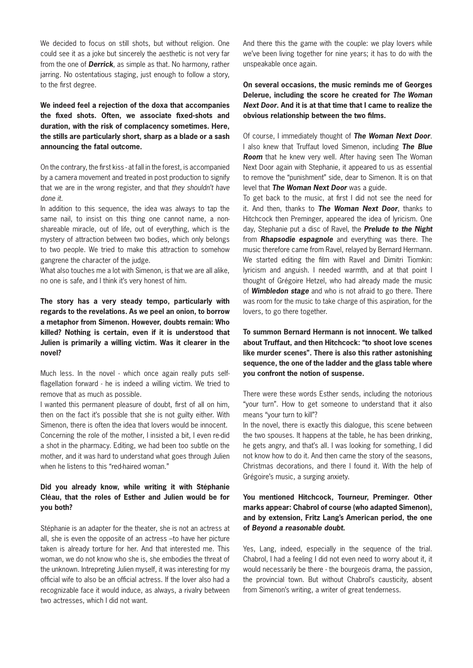We decided to focus on still shots, but without religion. One could see it as a joke but sincerely the aesthetic is not very far from the one of *Derrick*, as simple as that. No harmony, rather jarring. No ostentatious staging, just enough to follow a story, to the first degree.

**We indeed feel a rejection of the doxa that accompanies the fixed shots. Often, we associate fixed-shots and duration, with the risk of complacency sometimes. Here, the stills are particularly short, sharp as a blade or a sash announcing the fatal outcome.**

On the contrary, the first kiss - at fall in the forest, is accompanied by a camera movement and treated in post production to signify that we are in the wrong register, and that *they shouldn't have done it*.

In addition to this sequence, the idea was always to tap the same nail, to insist on this thing one cannot name, a nonshareable miracle, out of life, out of everything, which is the mystery of attraction between two bodies, which only belongs to two people. We tried to make this attraction to somehow gangrene the character of the judge.

What also touches me a lot with Simenon, is that we are all alike, no one is safe, and I think it's very honest of him.

**The story has a very steady tempo, particularly with regards to the revelations. As we peel an onion, to borrow a metaphor from Simenon. However, doubts remain: Who killed? Nothing is certain, even if it is understood that Julien is primarily a willing victim. Was it clearer in the novel?**

Much less. In the novel - which once again really puts selfflagellation forward - he is indeed a willing victim. We tried to remove that as much as possible.

I wanted this permanent pleasure of doubt, first of all on him, then on the fact it's possible that she is not guilty either. With Simenon, there is often the idea that lovers would be innocent. Concerning the role of the mother, I insisted a bit, I even re-did a shot in the pharmacy. Editing, we had been too subtle on the mother, and it was hard to understand what goes through Julien when he listens to this "red-haired woman."

#### **Did you already know, while writing it with Stéphanie Cléau, that the roles of Esther and Julien would be for you both?**

Stéphanie is an adapter for the theater, she is not an actress at all, she is even the opposite of an actress –to have her picture taken is already torture for her. And that interested me. This woman, we do not know who she is, she embodies the threat of the unknown. Intrepreting Julien myself, it was interesting for my official wife to also be an official actress. If the lover also had a recognizable face it would induce, as always, a rivalry between two actresses, which I did not want.

And there this the game with the couple: we play lovers while we've been living together for nine years; it has to do with the unspeakable once again.

**On several occasions, the music reminds me of Georges Delerue, including the score he created for** *The Woman Next Door***. And it is at that time that I came to realize the obvious relationship between the two films.**

Of course, I immediately thought of *The Woman Next Door*. I also knew that Truffaut loved Simenon, including *The Blue Room* that he knew very well. After having seen The Woman Next Door again with Stephanie, it appeared to us as essential to remove the "punishment" side, dear to Simenon. It is on that level that *The Woman Next Door* was a guide.

To get back to the music, at first I did not see the need for it. And then, thanks to *The Woman Next Door*, thanks to Hitchcock then Preminger, appeared the idea of lyricism. One day, Stephanie put a disc of Ravel, the *Prelude to the Night*  from *Rhapsodie espagnole* and everything was there. The music therefore came from Ravel, relayed by Bernard Hermann. We started editing the film with Ravel and Dimitri Tiomkin: lyricism and anguish. I needed warmth, and at that point I thought of Grégoire Hetzel, who had already made the music of *Wimbledon stage* and who is not afraid to go there. There was room for the music to take charge of this aspiration, for the lovers, to go there together.

**To summon Bernard Hermann is not innocent. We talked about Truffaut, and then Hitchcock: "to shoot love scenes like murder scenes". There is also this rather astonishing sequence, the one of the ladder and the glass table where you confront the notion of suspense.**

There were these words Esther sends, including the notorious "your turn". How to get someone to understand that it also means "your turn to kill"?

In the novel, there is exactly this dialogue, this scene between the two spouses. It happens at the table, he has been drinking, he gets angry, and that's all. I was looking for something, I did not know how to do it. And then came the story of the seasons, Christmas decorations, and there I found it. With the help of Grégoire's music, a surging anxiety.

#### **You mentioned Hitchcock, Tourneur, Preminger. Other marks appear: Chabrol of course (who adapted Simenon), and by extension, Fritz Lang's American period, the one of** *Beyond a reasonable doubt***.**

Yes, Lang, indeed, especially in the sequence of the trial. Chabrol, I had a feeling I did not even need to worry about it, it would necessarily be there - the bourgeois drama, the passion, the provincial town. But without Chabrol's causticity, absent from Simenon's writing, a writer of great tenderness.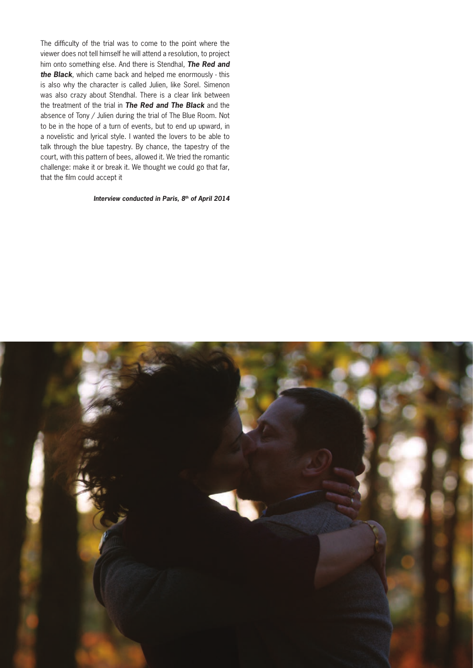The difficulty of the trial was to come to the point where the viewer does not tell himself he will attend a resolution, to project him onto something else. And there is Stendhal, *The Red and the Black*, which came back and helped me enormously - this is also why the character is called Julien, like Sorel. Simenon was also crazy about Stendhal. There is a clear link between the treatment of the trial in *The Red and The Black* and the absence of Tony / Julien during the trial of The Blue Room. Not to be in the hope of a turn of events, but to end up upward, in a novelistic and lyrical style. I wanted the lovers to be able to talk through the blue tapestry. By chance, the tapestry of the court, with this pattern of bees, allowed it. We tried the romantic challenge: make it or break it. We thought we could go that far, that the film could accept it

#### *Interview conducted in Paris, 8th of April 2014*

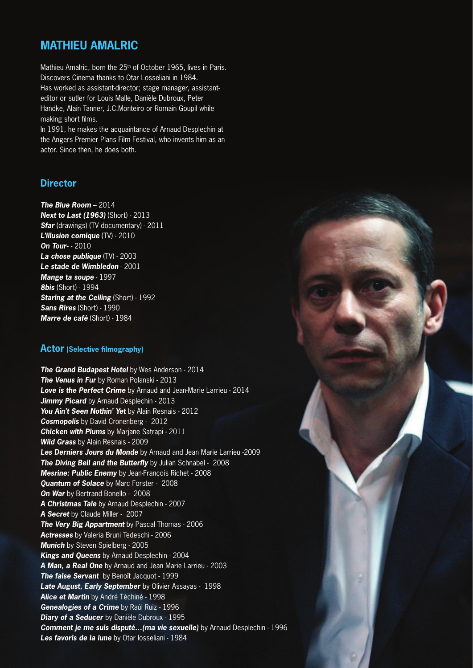# **MATHIEU AMALRIC**

Mathieu Amalric, born the 25<sup>th</sup> of October 1965, lives in Paris. Discovers Cinema thanks to Otar Losseliani in 1984. Has worked as assistant-director; stage manager, assistanteditor or sutler for Louis Malle, Danièle Dubroux, Peter Handke, Alain Tanner, J.C.Monteiro or Romain Goupil while making short films.

In 1991, he makes the acquaintance of Arnaud Desplechin at the Angers Premier Plans Film Festival, who invents him as an actor. Since then, he does both.

#### **Director**

*The Blue Room* – 2014 *Next to Last (1963)* (Short) - 2013 *Sfar* (drawings) (TV documentary) - 2011 *L'illusion comique* (TV) - 2010 *On Tour-* - 2010 *La chose publique* (TV) - 2003 *Le stade de Wimbledon* - 2001 *Mange ta soupe* - 1997 *8bis* (Short) - 1994 *Staring at the Ceiling* (Short) - 1992 *Sans Rires* (Short) - 1990 *Marre de café* (Short) - 1984

#### **Actor (Selective filmography)**

*The Grand Budapest Hotel* by Wes Anderson - 2014 *The Venus in Fur* by Roman Polanski - 2013 *Love is the Perfect Crime* by Arnaud and Jean-Marie Larrieu - 2014 **Jimmy Picard** by Arnaud Desplechin - 2013 *You Ain't Seen Nothin' Yet* by Alain Resnais - 2012 *Cosmopolis* by David Cronenberg - 2012 *Chicken with Plums* by Marjane Satrapi - 2011 *Wild Grass* by Alain Resnais - 2009 *Les Derniers Jours du Monde* by Arnaud and Jean Marie Larrieu -2009 *The Diving Bell and the Butterfly* by Julian Schnabel - 2008 *Mesrine: Public Enemy* by Jean-François Richet - 2008 *Quantum of Solace* by Marc Forster - 2008 **On War** by Bertrand Bonello - 2008 *A Christmas Tale* by Arnaud Desplechin - 2007 *A Secret* by Claude Miller - 2007 *The Very Big Appartment* by Pascal Thomas - 2006 *Actresses* by Valeria Bruni Tedeschi - 2006 *Munich* by Steven Spielberg - 2005 *Kings and Queens* by Arnaud Desplechin - 2004 *A Man, a Real One* by Arnaud and Jean Marie Larrieu - 2003 *The false Servant* by Benoît Jacquot - 1999 *Late August, Early September* by Olivier Assayas - 1998 *Alice et Martin* by André Téchiné - 1998 *Genealogies of a Crime* by Raúl Ruiz - 1996 *Diary of a Seducer* by Danièle Dubroux - 1995 *Comment je me suis disputé…(ma vie sexuelle)* by Arnaud Desplechin - 1996 Les favoris de la lune by Otar losseliani - 1984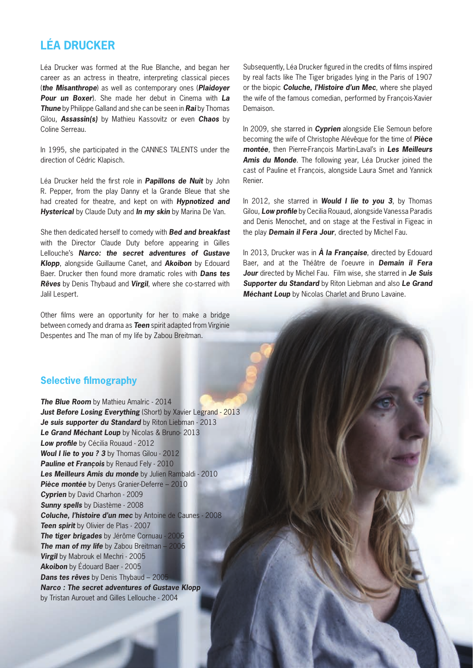# **LÉA DRUCKER**

Léa Drucker was formed at the Rue Blanche, and began her career as an actress in theatre, interpreting classical pieces (*the Misanthrope*) as well as contemporary ones (*Plaidoyer Pour un Boxer*). She made her debut in Cinema with *La Thune* by Philippe Galland and she can be seen in *Rai* by Thomas Gilou, *Assassin(s)* by Mathieu Kassovitz or even *Chaos* by Coline Serreau.

In 1995, she participated in the CANNES TALENTS under the direction of Cédric Klapisch.

Léa Drucker held the first role in *Papillons de Nuit* by John R. Pepper, from the play Danny et la Grande Bleue that she had created for theatre, and kept on with *Hypnotized and Hysterical* by Claude Duty and *In my skin* by Marina De Van.

She then dedicated herself to comedy with *Bed and breakfast*  with the Director Claude Duty before appearing in Gilles Lellouche's *Narco: the secret adventures of Gustave Klopp*, alongside Guillaume Canet, and *Akoibon* by Edouard Baer. Drucker then found more dramatic roles with *Dans tes Rêves* by Denis Thybaud and *Virgil*, where she co-starred with Jalil Lespert.

Other films were an opportunity for her to make a bridge between comedy and drama as *Teen* spirit adapted from Virginie Despentes and The man of my life by Zabou Breitman.

#### **Selective filmography**

*The Blue Room* by Mathieu Amalric - 2014 **Just Before Losing Everything** (Short) by Xavier Legrand - 2013 *Je suis supporter du Standard* by Riton Liebman - 2013 *Le Grand Méchant Loup* by Nicolas & Bruno- 2013 *Low profile* by Cécilia Rouaud - 2012 *Woul I lie to you ? 3* by Thomas Gilou - 2012 **Pauline et François** by Renaud Fely - 2010 *Les Meilleurs Amis du monde* by Julien Rambaldi - 2010 *Pièce montée* by Denys Granier-Deferre – 2010 *Cyprien* by David Charhon - 2009 *Sunny spells* by Diastème - 2008 *Coluche, l'histoire d'un mec* by Antoine de Caunes - 2008 **Teen spirit** by Olivier de Plas - 2007 *The tiger brigades* by Jérôme Cornuau - 2006 *The man of my life* by Zabou Breitman – 2006 *Virgil* by Mabrouk el Mechri - 2005 *Akoibon* by Édouard Baer - 2005 *Dans tes rêves* by Denis Thybaud – 2005 *Narco : The secret adventures of Gustave Klopp* by Tristan Aurouet and Gilles Lellouche - 2004

Subsequently, Léa Drucker figured in the credits of films inspired by real facts like The Tiger brigades lying in the Paris of 1907 or the biopic *Coluche, l'Histoire d'un Mec*, where she played the wife of the famous comedian, performed by François-Xavier Demaison.

In 2009, she starred in *Cyprien* alongside Elie Semoun before becoming the wife of Christophe Alévêque for the time of *Pièce montée*, then Pierre-François Martin-Laval's in *Les Meilleurs Amis du Monde*. The following year, Léa Drucker joined the cast of Pauline et François, alongside Laura Smet and Yannick Renier.

In 2012, she starred in *Would I lie to you 3*, by Thomas Gilou, *Low profile* by Cecilia Rouaud, alongside Vanessa Paradis and Denis Menochet, and on stage at the Festival in Figeac in the play *Demain il Fera Jour*, directed by Michel Fau.

In 2013, Drucker was in *À la Française*, directed by Edouard Baer, and at the Théâtre de l'oeuvre in *Demain il Fera Jour* directed by Michel Fau. Film wise, she starred in *Je Suis Supporter du Standard* by Riton Liebman and also *Le Grand Méchant Loup* by Nicolas Charlet and Bruno Lavaine.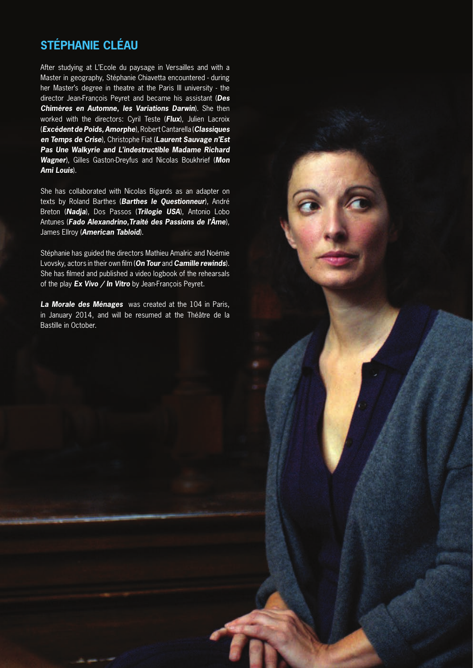# **STÉPHANIE CLÉAU**

After studying at L'Ecole du paysage in Versailles and with a Master in geography, Stéphanie Chiavetta encountered - during her Master's degree in theatre at the Paris III university - the director Jean-François Peyret and became his assistant (*Des Chimères en Automne, les Variations Darwin*). She then worked with the directors: Cyril Teste (*Flux*), Julien Lacroix (*Excédent de Poids, Amorphe*), Robert Cantarella (*Classiques en Temps de Crise*), Christophe Fiat (*Laurent Sauvage n'Est Pas Une Walkyrie and L'indestructible Madame Richard Wagner*), Gilles Gaston-Dreyfus and Nicolas Boukhrief (*Mon Ami Louis*).

She has collaborated with Nicolas Bigards as an adapter on texts by Roland Barthes (*Barthes le Questionneur*), André Breton (*Nadja*), Dos Passos (*Trilogie USA*), Antonio Lobo Antunes (*Fado Alexandrino,Traité des Passions de l'Âme*), James Ellroy (*American Tabloid*).

Stéphanie has guided the directors Mathieu Amalric and Noémie Lvovsky, actors in their own film (*On Tour* and *Camille rewinds*). She has filmed and published a video logbook of the rehearsals of the play *Ex Vivo / In Vitro* by Jean-François Peyret.

*La Morale des Ménages* was created at the 104 in Paris, in January 2014, and will be resumed at the Théâtre de la Bastille in October.